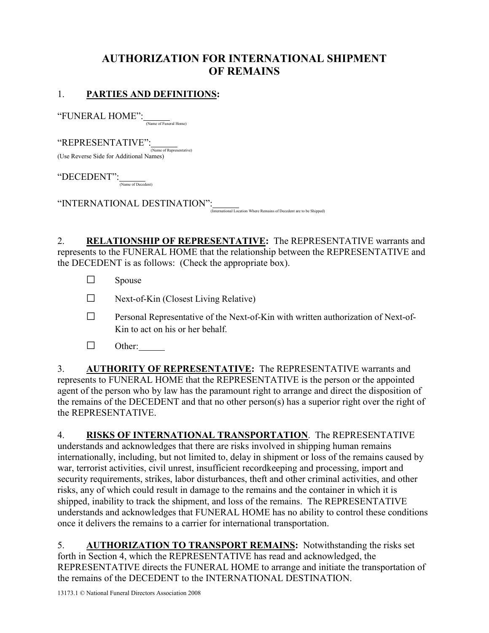# AUTHORIZATION FOR INTERNATIONAL SHIPMENT OF REMAINS

## 1. PARTIES AND DEFINITIONS:

 $\lq \lq \text{FWERAL} \text{ HOME'':}$  (Name of Funeral Home)

 $``\text{REPRESENTATIVE}'':$   $\frac{1}{\text{(Name of Representative)}}$ (Use Reverse Side for Additional Names)

 $\text{``DECEDENT'':}\n \frac{\text{``DECEDENT'':}}{\text{(Name of Decedent)}}$ 

"INTERNATIONAL DESTINATION": (International Location Where Remains of Decedent are to be Shipped)

2. RELATIONSHIP OF REPRESENTATIVE: The REPRESENTATIVE warrants and represents to the FUNERAL HOME that the relationship between the REPRESENTATIVE and the DECEDENT is as follows: (Check the appropriate box).

- $\square$  Spouse
- $\Box$  Next-of-Kin (Closest Living Relative)
- $\square$  Personal Representative of the Next-of-Kin with written authorization of Next-of-Kin to act on his or her behalf.
- □ Other:

3. AUTHORITY OF REPRESENTATIVE: The REPRESENTATIVE warrants and represents to FUNERAL HOME that the REPRESENTATIVE is the person or the appointed agent of the person who by law has the paramount right to arrange and direct the disposition of the remains of the DECEDENT and that no other person(s) has a superior right over the right of the REPRESENTATIVE.

4. RISKS OF INTERNATIONAL TRANSPORTATION. The REPRESENTATIVE understands and acknowledges that there are risks involved in shipping human remains internationally, including, but not limited to, delay in shipment or loss of the remains caused by war, terrorist activities, civil unrest, insufficient recordkeeping and processing, import and security requirements, strikes, labor disturbances, theft and other criminal activities, and other risks, any of which could result in damage to the remains and the container in which it is shipped, inability to track the shipment, and loss of the remains. The REPRESENTATIVE understands and acknowledges that FUNERAL HOME has no ability to control these conditions once it delivers the remains to a carrier for international transportation.

5. AUTHORIZATION TO TRANSPORT REMAINS: Notwithstanding the risks set forth in Section 4, which the REPRESENTATIVE has read and acknowledged, the REPRESENTATIVE directs the FUNERAL HOME to arrange and initiate the transportation of the remains of the DECEDENT to the INTERNATIONAL DESTINATION.